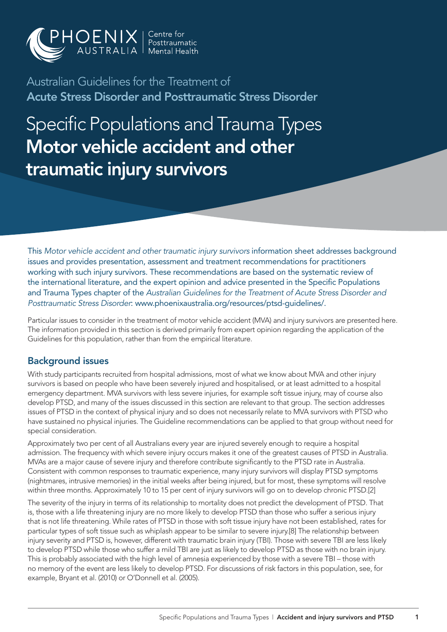

Australian Guidelines for the Treatment of Acute Stress Disorder and Posttraumatic Stress Disorder

Specific Populations and Trauma Types Motor vehicle accident and other traumatic injury survivors

This *Motor vehicle accident and other traumatic injury survivors* information sheet addresses background issues and provides presentation, assessment and treatment recommendations for practitioners working with such injury survivors. These recommendations are based on the systematic review of the international literature, and the expert opinion and advice presented in the Specific Populations and Trauma Types chapter of the *Australian Guidelines for the Treatment of Acute Stress Disorder and Posttraumatic Stress Disorder*: www.phoenixaustralia.org/resources/ptsd-guidelines/.

Particular issues to consider in the treatment of motor vehicle accident (MVA) and injury survivors are presented here. The information provided in this section is derived primarily from expert opinion regarding the application of the Guidelines for this population, rather than from the empirical literature.

### Background issues

With study participants recruited from hospital admissions, most of what we know about MVA and other injury survivors is based on people who have been severely injured and hospitalised, or at least admitted to a hospital emergency department. MVA survivors with less severe injuries, for example soft tissue injury, may of course also develop PTSD, and many of the issues discussed in this section are relevant to that group. The section addresses issues of PTSD in the context of physical injury and so does not necessarily relate to MVA survivors with PTSD who have sustained no physical injuries. The Guideline recommendations can be applied to that group without need for special consideration.

Approximately two per cent of all Australians every year are injured severely enough to require a hospital admission. The frequency with which severe injury occurs makes it one of the greatest causes of PTSD in Australia. MVAs are a major cause of severe injury and therefore contribute significantly to the PTSD rate in Australia. Consistent with common responses to traumatic experience, many injury survivors will display PTSD symptoms (nightmares, intrusive memories) in the initial weeks after being injured, but for most, these symptoms will resolve within three months. Approximately 10 to 15 per cent of injury survivors will go on to develop chronic PTSD.[2]

The severity of the injury in terms of its relationship to mortality does not predict the development of PTSD. That is, those with a life threatening injury are no more likely to develop PTSD than those who suffer a serious injury that is not life threatening. While rates of PTSD in those with soft tissue injury have not been established, rates for particular types of soft tissue such as whiplash appear to be similar to severe injury.[8] The relationship between injury severity and PTSD is, however, different with traumatic brain injury (TBI). Those with severe TBI are less likely to develop PTSD while those who suffer a mild TBI are just as likely to develop PTSD as those with no brain injury. This is probably associated with the high level of amnesia experienced by those with a severe TBI – those with no memory of the event are less likely to develop PTSD. For discussions of risk factors in this population, see, for example, Bryant et al. (2010) or O'Donnell et al. (2005).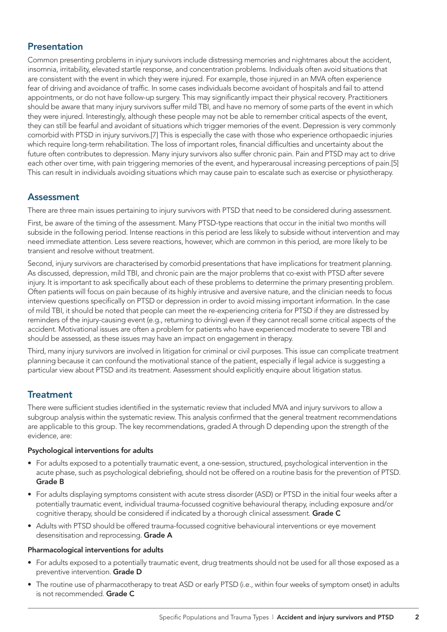# Presentation

Common presenting problems in injury survivors include distressing memories and nightmares about the accident, insomnia, irritability, elevated startle response, and concentration problems. Individuals often avoid situations that are consistent with the event in which they were injured. For example, those injured in an MVA often experience fear of driving and avoidance of traffic. In some cases individuals become avoidant of hospitals and fail to attend appointments, or do not have follow-up surgery. This may significantly impact their physical recovery. Practitioners should be aware that many injury survivors suffer mild TBI, and have no memory of some parts of the event in which they were injured. Interestingly, although these people may not be able to remember critical aspects of the event, they can still be fearful and avoidant of situations which trigger memories of the event. Depression is very commonly comorbid with PTSD in injury survivors.[7] This is especially the case with those who experience orthopaedic injuries which require long-term rehabilitation. The loss of important roles, financial difficulties and uncertainty about the future often contributes to depression. Many injury survivors also suffer chronic pain. Pain and PTSD may act to drive each other over time, with pain triggering memories of the event, and hyperarousal increasing perceptions of pain.[5] This can result in individuals avoiding situations which may cause pain to escalate such as exercise or physiotherapy.

### Assessment

There are three main issues pertaining to injury survivors with PTSD that need to be considered during assessment.

First, be aware of the timing of the assessment. Many PTSD-type reactions that occur in the initial two months will subside in the following period. Intense reactions in this period are less likely to subside without intervention and may need immediate attention. Less severe reactions, however, which are common in this period, are more likely to be transient and resolve without treatment.

Second, injury survivors are characterised by comorbid presentations that have implications for treatment planning. As discussed, depression, mild TBI, and chronic pain are the major problems that co-exist with PTSD after severe injury. It is important to ask specifically about each of these problems to determine the primary presenting problem. Often patients will focus on pain because of its highly intrusive and aversive nature, and the clinician needs to focus interview questions specifically on PTSD or depression in order to avoid missing important information. In the case of mild TBI, it should be noted that people can meet the re-experiencing criteria for PTSD if they are distressed by reminders of the injury-causing event (e.g., returning to driving) even if they cannot recall some critical aspects of the accident. Motivational issues are often a problem for patients who have experienced moderate to severe TBI and should be assessed, as these issues may have an impact on engagement in therapy.

Third, many injury survivors are involved in litigation for criminal or civil purposes. This issue can complicate treatment planning because it can confound the motivational stance of the patient, especially if legal advice is suggesting a particular view about PTSD and its treatment. Assessment should explicitly enquire about litigation status.

# **Treatment**

There were sufficient studies identified in the systematic review that included MVA and injury survivors to allow a subgroup analysis within the systematic review. This analysis confirmed that the general treatment recommendations are applicable to this group. The key recommendations, graded A through D depending upon the strength of the evidence, are:

#### Psychological interventions for adults

- For adults exposed to a potentially traumatic event, a one-session, structured, psychological intervention in the acute phase, such as psychological debriefing, should not be offered on a routine basis for the prevention of PTSD. Grade B
- For adults displaying symptoms consistent with acute stress disorder (ASD) or PTSD in the initial four weeks after a potentially traumatic event, individual trauma-focussed cognitive behavioural therapy, including exposure and/or cognitive therapy, should be considered if indicated by a thorough clinical assessment. **Grade C**
- Adults with PTSD should be offered trauma-focussed cognitive behavioural interventions or eye movement desensitisation and reprocessing. Grade A

#### Pharmacological interventions for adults

- • For adults exposed to a potentially traumatic event, drug treatments should not be used for all those exposed as a preventive intervention. Grade D
- The routine use of pharmacotherapy to treat ASD or early PTSD (i.e., within four weeks of symptom onset) in adults is not recommended. Grade C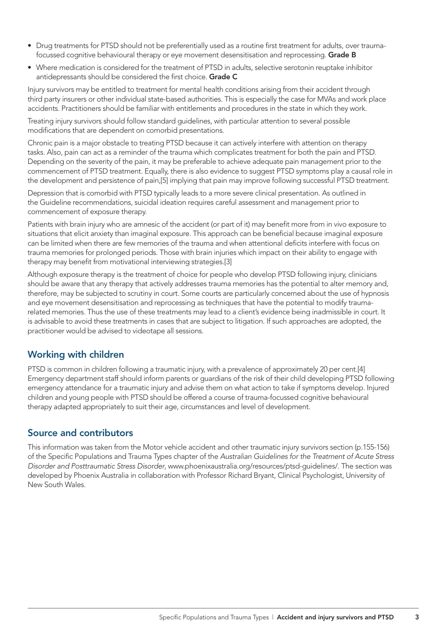- • Drug treatments for PTSD should not be preferentially used as a routine first treatment for adults, over traumafocussed cognitive behavioural therapy or eye movement desensitisation and reprocessing. Grade B
- • Where medication is considered for the treatment of PTSD in adults, selective serotonin reuptake inhibitor antidepressants should be considered the first choice. Grade C

Injury survivors may be entitled to treatment for mental health conditions arising from their accident through third party insurers or other individual state-based authorities. This is especially the case for MVAs and work place accidents. Practitioners should be familiar with entitlements and procedures in the state in which they work.

Treating injury survivors should follow standard guidelines, with particular attention to several possible modifications that are dependent on comorbid presentations.

Chronic pain is a major obstacle to treating PTSD because it can actively interfere with attention on therapy tasks. Also, pain can act as a reminder of the trauma which complicates treatment for both the pain and PTSD. Depending on the severity of the pain, it may be preferable to achieve adequate pain management prior to the commencement of PTSD treatment. Equally, there is also evidence to suggest PTSD symptoms play a causal role in the development and persistence of pain,[5] implying that pain may improve following successful PTSD treatment.

Depression that is comorbid with PTSD typically leads to a more severe clinical presentation. As outlined in the Guideline recommendations, suicidal ideation requires careful assessment and management prior to commencement of exposure therapy.

Patients with brain injury who are amnesic of the accident (or part of it) may benefit more from in vivo exposure to situations that elicit anxiety than imaginal exposure. This approach can be beneficial because imaginal exposure can be limited when there are few memories of the trauma and when attentional deficits interfere with focus on trauma memories for prolonged periods. Those with brain injuries which impact on their ability to engage with therapy may benefit from motivational interviewing strategies.[3]

Although exposure therapy is the treatment of choice for people who develop PTSD following injury, clinicians should be aware that any therapy that actively addresses trauma memories has the potential to alter memory and, therefore, may be subjected to scrutiny in court. Some courts are particularly concerned about the use of hypnosis and eye movement desensitisation and reprocessing as techniques that have the potential to modify traumarelated memories. Thus the use of these treatments may lead to a client's evidence being inadmissible in court. It is advisable to avoid these treatments in cases that are subject to litigation. If such approaches are adopted, the practitioner would be advised to videotape all sessions.

# Working with children

PTSD is common in children following a traumatic injury, with a prevalence of approximately 20 per cent.[4] Emergency department staff should inform parents or guardians of the risk of their child developing PTSD following emergency attendance for a traumatic injury and advise them on what action to take if symptoms develop. Injured children and young people with PTSD should be offered a course of trauma-focussed cognitive behavioural therapy adapted appropriately to suit their age, circumstances and level of development.

# Source and contributors

This information was taken from the Motor vehicle accident and other traumatic injury survivors section (p.155-156) of the Specific Populations and Trauma Types chapter of the *Australian Guidelines for the Treatment of Acute Stress Disorder and Posttraumatic Stress Disorder*, www.phoenixaustralia.org/resources/ptsd-guidelines/. The section was developed by Phoenix Australia in collaboration with Professor Richard Bryant, Clinical Psychologist, University of New South Wales.